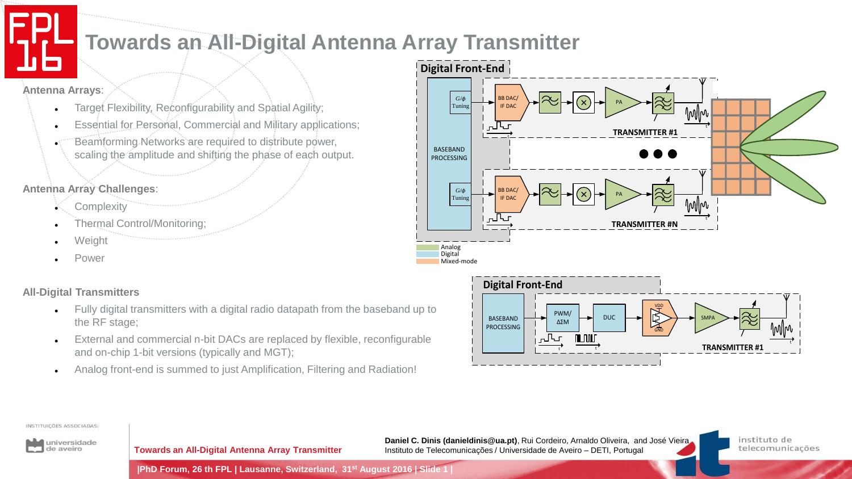## **Towards an All-Digital Antenna Array Transmitter**

**Antenna Arrays**:

- Target Flexibility, Reconfigurability and Spatial Agility;
- Essential for Personal, Commercial and Military applications;
- Beamforming Networks are required to distribute power, scaling the amplitude and shifting the phase of each output.

### **Antenna Array Challenges**:

- **Complexity**
- Thermal Control/Monitoring;
- Weight
- Power

### **All-Digital Transmitters**

- Fully digital transmitters with a digital radio datapath from the baseband up to the RF stage;
- External and commercial n-bit DACs are replaced by flexible, reconfigurable and on-chip 1-bit versions (typically and MGT);
- Analog front-end is summed to just Amplification, Filtering and Radiation!





#### INSTITUIÇÕES ASSOCIADAS:



**Towards an All-Digital Antenna Array Transmitter**

**Daniel C. Dinis (danieldinis@ua.pt)**, Rui Cordeiro, Arnaldo Oliveira, and José Vieira Instituto de Telecomunicações / Universidade de Aveiro – DETI, Portugal

instituto de telecomunicações